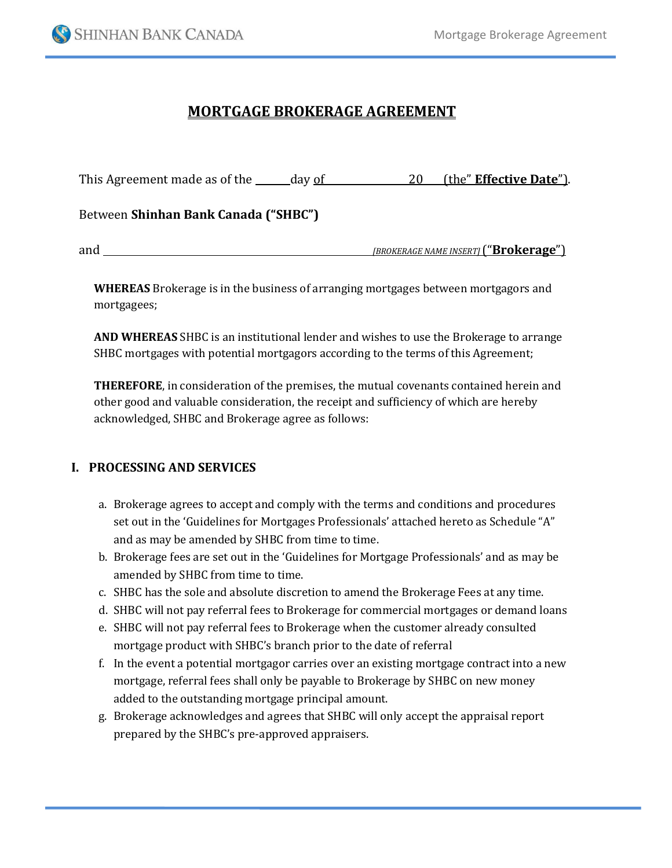

# **MORTGAGE BROKERAGE AGREEMENT**

| This Agreement made as of the ______ day of | (the" Effective Date").<br>20                |
|---------------------------------------------|----------------------------------------------|
| Between Shinhan Bank Canada ("SHBC")        |                                              |
| and                                         | <b>IBROKERAGE NAME INSERTI ("Brokerage")</b> |

**WHEREAS** Brokerage is in the business of arranging mortgages between mortgagors and mortgagees;

**AND WHEREAS** SHBC is an institutional lender and wishes to use the Brokerage to arrange SHBC mortgages with potential mortgagors according to the terms of this Agreement;

**THEREFORE**, in consideration of the premises, the mutual covenants contained herein and other good and valuable consideration, the receipt and sufficiency of which are hereby acknowledged, SHBC and Brokerage agree as follows:

## **I. PROCESSING AND SERVICES**

- a. Brokerage agrees to accept and comply with the terms and conditions and procedures set out in the 'Guidelines for Mortgages Professionals' attached hereto as Schedule "A" and as may be amended by SHBC from time to time.
- b. Brokerage fees are set out in the 'Guidelines for Mortgage Professionals' and as may be amended by SHBC from time to time.
- c. SHBC has the sole and absolute discretion to amend the Brokerage Fees at any time.
- d. SHBC will not pay referral fees to Brokerage for commercial mortgages or demand loans
- e. SHBC will not pay referral fees to Brokerage when the customer already consulted mortgage product with SHBC's branch prior to the date of referral
- f. In the event a potential mortgagor carries over an existing mortgage contract into a new mortgage, referral fees shall only be payable to Brokerage by SHBC on new money added to the outstanding mortgage principal amount.
- g. Brokerage acknowledges and agrees that SHBC will only accept the appraisal report prepared by the SHBC's pre-approved appraisers.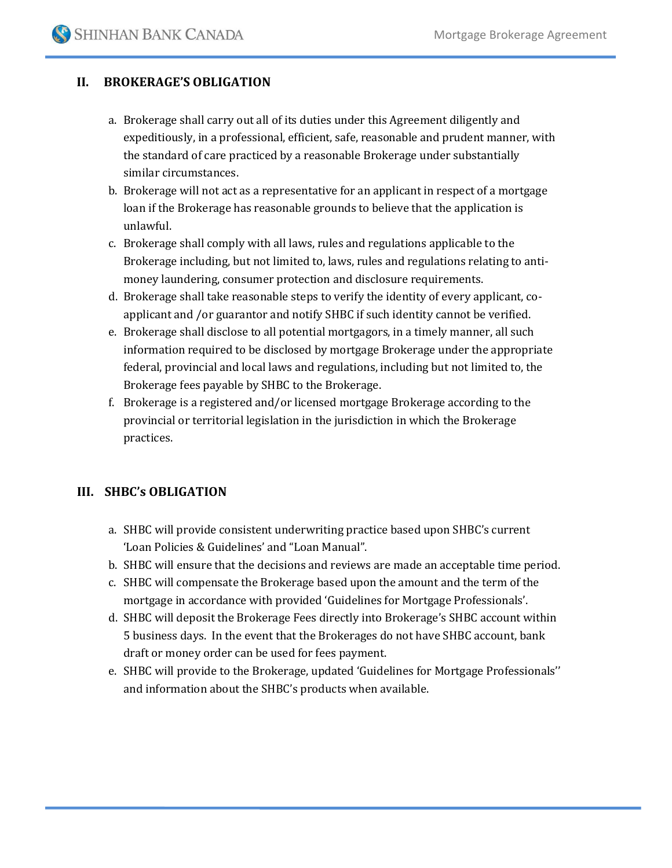## **II. BROKERAGE'S OBLIGATION**

- a. Brokerage shall carry out all of its duties under this Agreement diligently and expeditiously, in a professional, efficient, safe, reasonable and prudent manner, with the standard of care practiced by a reasonable Brokerage under substantially similar circumstances.
- b. Brokerage will not act as a representative for an applicant in respect of a mortgage loan if the Brokerage has reasonable grounds to believe that the application is unlawful.
- c. Brokerage shall comply with all laws, rules and regulations applicable to the Brokerage including, but not limited to, laws, rules and regulations relating to antimoney laundering, consumer protection and disclosure requirements.
- d. Brokerage shall take reasonable steps to verify the identity of every applicant, coapplicant and /or guarantor and notify SHBC if such identity cannot be verified.
- e. Brokerage shall disclose to all potential mortgagors, in a timely manner, all such information required to be disclosed by mortgage Brokerage under the appropriate federal, provincial and local laws and regulations, including but not limited to, the Brokerage fees payable by SHBC to the Brokerage.
- f. Brokerage is a registered and/or licensed mortgage Brokerage according to the provincial or territorial legislation in the jurisdiction in which the Brokerage practices.

## **III. SHBC's OBLIGATION**

- a. SHBC will provide consistent underwriting practice based upon SHBC's current 'Loan Policies & Guidelines' and "Loan Manual".
- b. SHBC will ensure that the decisions and reviews are made an acceptable time period.
- c. SHBC will compensate the Brokerage based upon the amount and the term of the mortgage in accordance with provided 'Guidelines for Mortgage Professionals'.
- d. SHBC will deposit the Brokerage Fees directly into Brokerage's SHBC account within 5 business days. In the event that the Brokerages do not have SHBC account, bank draft or money order can be used for fees payment.
- e. SHBC will provide to the Brokerage, updated 'Guidelines for Mortgage Professionals'' and information about the SHBC's products when available.